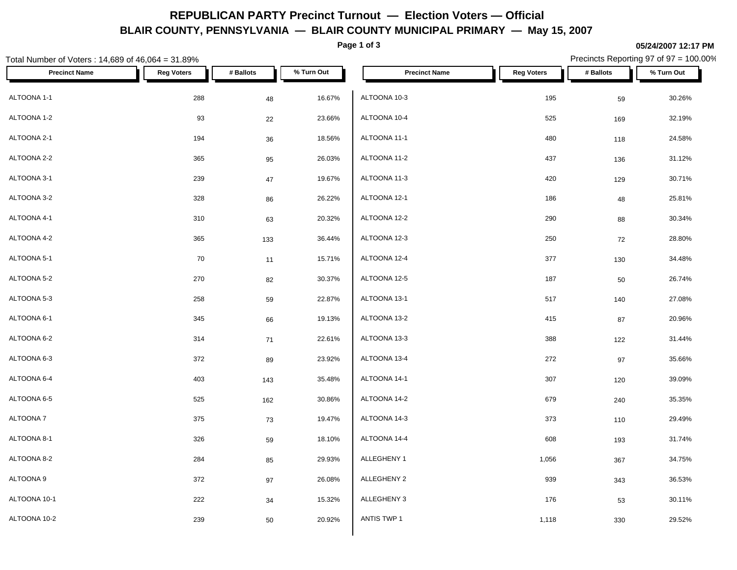# **REPUBLICAN PARTY Precinct Turnout — Election Voters — Official BLAIR COUNTY, PENNSYLVANIA — BLAIR COUNTY MUNICIPAL PRIMARY — May 15, 2007**

**Page 1 of 3**

#### **05/24/2007 12:17 PM**

| Total Number of Voters: 14,689 of 46,064 = 31.89% |                   |           |            |                      |                   |           | Precincts Reporting 97 of 97 = 100.00% |
|---------------------------------------------------|-------------------|-----------|------------|----------------------|-------------------|-----------|----------------------------------------|
| <b>Precinct Name</b>                              | <b>Reg Voters</b> | # Ballots | % Turn Out | <b>Precinct Name</b> | <b>Reg Voters</b> | # Ballots | % Turn Out                             |
| ALTOONA 1-1                                       | 288               | 48        | 16.67%     | ALTOONA 10-3         | 195               | 59        | 30.26%                                 |
| ALTOONA 1-2                                       | 93                | 22        | 23.66%     | ALTOONA 10-4         | 525               | 169       | 32.19%                                 |
| ALTOONA 2-1                                       | 194               | 36        | 18.56%     | ALTOONA 11-1         | 480               | 118       | 24.58%                                 |
| ALTOONA 2-2                                       | 365               | 95        | 26.03%     | ALTOONA 11-2         | 437               | 136       | 31.12%                                 |
| ALTOONA 3-1                                       | 239               | 47        | 19.67%     | ALTOONA 11-3         | 420               | 129       | 30.71%                                 |
| ALTOONA 3-2                                       | 328               | 86        | 26.22%     | ALTOONA 12-1         | 186               | 48        | 25.81%                                 |
| ALTOONA 4-1                                       | 310               | 63        | 20.32%     | ALTOONA 12-2         | 290               | 88        | 30.34%                                 |
| ALTOONA 4-2                                       | 365               | 133       | 36.44%     | ALTOONA 12-3         | 250               | 72        | 28.80%                                 |
| ALTOONA 5-1                                       | 70                | 11        | 15.71%     | ALTOONA 12-4         | 377               | 130       | 34.48%                                 |
| ALTOONA 5-2                                       | 270               | 82        | 30.37%     | ALTOONA 12-5         | 187               | 50        | 26.74%                                 |
| ALTOONA 5-3                                       | 258               | 59        | 22.87%     | ALTOONA 13-1         | 517               | 140       | 27.08%                                 |
| ALTOONA 6-1                                       | 345               | 66        | 19.13%     | ALTOONA 13-2         | 415               | 87        | 20.96%                                 |
| ALTOONA 6-2                                       | 314               | 71        | 22.61%     | ALTOONA 13-3         | 388               | 122       | 31.44%                                 |
| ALTOONA 6-3                                       | 372               | 89        | 23.92%     | ALTOONA 13-4         | 272               | $97\,$    | 35.66%                                 |
| ALTOONA 6-4                                       | 403               | 143       | 35.48%     | ALTOONA 14-1         | 307               | 120       | 39.09%                                 |
| ALTOONA 6-5                                       | 525               | 162       | 30.86%     | ALTOONA 14-2         | 679               | 240       | 35.35%                                 |
| ALTOONA 7                                         | 375               | 73        | 19.47%     | ALTOONA 14-3         | 373               | 110       | 29.49%                                 |
| ALTOONA 8-1                                       | 326               | 59        | 18.10%     | ALTOONA 14-4         | 608               | 193       | 31.74%                                 |
| ALTOONA 8-2                                       | 284               | 85        | 29.93%     | ALLEGHENY 1          | 1,056             | 367       | 34.75%                                 |
| ALTOONA 9                                         | 372               | 97        | 26.08%     | ALLEGHENY 2          | 939               | 343       | 36.53%                                 |
| ALTOONA 10-1                                      | 222               | 34        | 15.32%     | ALLEGHENY 3          | 176               | 53        | 30.11%                                 |
| ALTOONA 10-2                                      | 239               | 50        | 20.92%     | ANTIS TWP 1          | 1,118             | 330       | 29.52%                                 |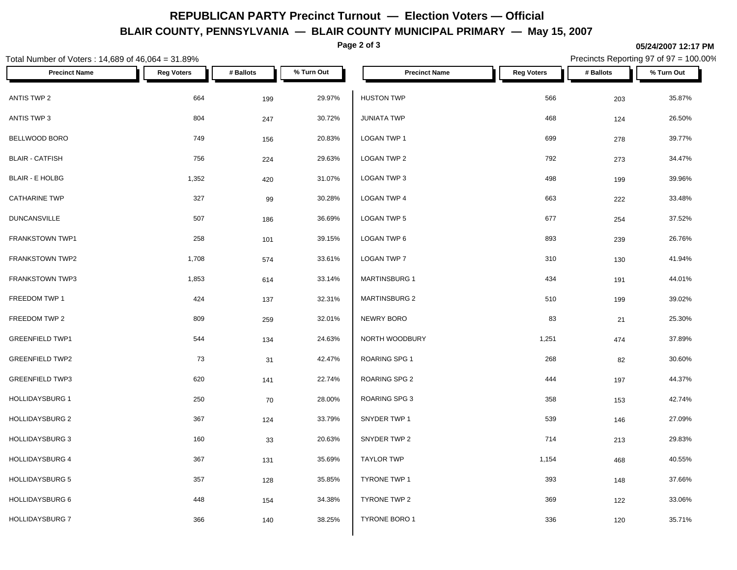# **REPUBLICAN PARTY Precinct Turnout — Election Voters — Official BLAIR COUNTY, PENNSYLVANIA — BLAIR COUNTY MUNICIPAL PRIMARY — May 15, 2007**

**Page 2 of 3**

#### **05/24/2007 12:17 PM**

Precincts Reporting 97 of 97 = 100.00%

| Total Number of Voters: 14,689 of 46,064 = 31.89% |                   |            |                  |                              |                   |            | Precincts Reporting 97 of 97 = 100.00% |
|---------------------------------------------------|-------------------|------------|------------------|------------------------------|-------------------|------------|----------------------------------------|
| <b>Precinct Name</b>                              | <b>Reg Voters</b> | # Ballots  | % Turn Out       | <b>Precinct Name</b>         | <b>Reg Voters</b> | # Ballots  | % Turn Out                             |
| ANTIS TWP 2                                       | 664               | 199        | 29.97%           | <b>HUSTON TWP</b>            | 566               | 203        | 35.87%                                 |
| ANTIS TWP 3                                       | 804               | 247        | 30.72%           | <b>JUNIATA TWP</b>           | 468               | 124        | 26.50%                                 |
| BELLWOOD BORO                                     | 749               | 156        | 20.83%           | LOGAN TWP 1                  | 699               | 278        | 39.77%                                 |
| <b>BLAIR - CATFISH</b>                            | 756               | 224        | 29.63%           | LOGAN TWP 2                  | 792               | 273        | 34.47%                                 |
| <b>BLAIR - E HOLBG</b>                            | 1,352             | 420        | 31.07%           | LOGAN TWP 3                  | 498               | 199        | 39.96%                                 |
| <b>CATHARINE TWP</b>                              | 327               | 99         | 30.28%           | LOGAN TWP 4                  | 663               | 222        | 33.48%                                 |
| <b>DUNCANSVILLE</b>                               | 507               | 186        | 36.69%           | <b>LOGAN TWP 5</b>           | 677               | 254        | 37.52%                                 |
| FRANKSTOWN TWP1                                   | 258               | 101        | 39.15%           | LOGAN TWP 6                  | 893               | 239        | 26.76%                                 |
| FRANKSTOWN TWP2                                   | 1,708             | 574        | 33.61%           | LOGAN TWP 7                  | 310               | 130        | 41.94%                                 |
| FRANKSTOWN TWP3                                   | 1,853             | 614        | 33.14%           | <b>MARTINSBURG 1</b>         | 434               | 191        | 44.01%                                 |
| FREEDOM TWP 1                                     | 424               | 137        | 32.31%           | <b>MARTINSBURG 2</b>         | 510               | 199        | 39.02%                                 |
| FREEDOM TWP 2                                     | 809               | 259        | 32.01%           | NEWRY BORO                   | 83                | 21         | 25.30%                                 |
| <b>GREENFIELD TWP1</b>                            | 544               | 134        | 24.63%           | NORTH WOODBURY               | 1,251             | 474        | 37.89%                                 |
| <b>GREENFIELD TWP2</b>                            | 73                | 31         | 42.47%           | ROARING SPG 1                | 268               | 82         | 30.60%                                 |
| <b>GREENFIELD TWP3</b>                            | 620               | 141        | 22.74%           | ROARING SPG 2                | 444               | 197        | 44.37%                                 |
| <b>HOLLIDAYSBURG 1</b>                            | 250               | 70         | 28.00%           | ROARING SPG 3                | 358               | 153        | 42.74%                                 |
| <b>HOLLIDAYSBURG 2</b><br><b>HOLLIDAYSBURG 3</b>  | 367<br>160        | 124<br>33  | 33.79%<br>20.63% | SNYDER TWP 1<br>SNYDER TWP 2 | 539<br>714        | 146        | 27.09%<br>29.83%                       |
| HOLLIDAYSBURG 4                                   | 367               |            | 35.69%           | <b>TAYLOR TWP</b>            | 1,154             | 213        | 40.55%                                 |
| <b>HOLLIDAYSBURG 5</b>                            | 357               | 131<br>128 | 35.85%           | TYRONE TWP 1                 | 393               | 468<br>148 | 37.66%                                 |
| <b>HOLLIDAYSBURG 6</b>                            | 448               | 154        | 34.38%           | TYRONE TWP 2                 | 369               | 122        | 33.06%                                 |
| HOLLIDAYSBURG 7                                   | 366               | 140        | 38.25%           | TYRONE BORO 1                | 336               | 120        | 35.71%                                 |
|                                                   |                   |            |                  |                              |                   |            |                                        |